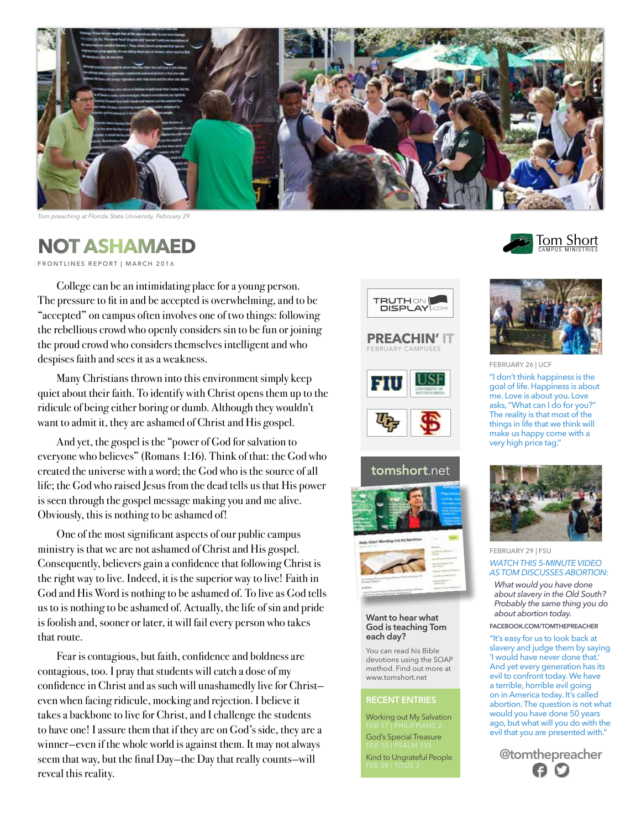

*Tom preaching at Florida State University, February 29.*

## **NOT ASHAMAED**

**FRONTLINES REPORT | MARCH 2016** 

College can be an intimidating place for a young person. The pressure to fit in and be accepted is overwhelming, and to be "accepted" on campus often involves one of two things: following the rebellious crowd who openly considers sin to be fun or joining the proud crowd who considers themselves intelligent and who despises faith and sees it as a weakness.

Many Christians thrown into this environment simply keep quiet about their faith. To identify with Christ opens them up to the ridicule of being either boring or dumb. Although they wouldn't want to admit it, they are ashamed of Christ and His gospel.

And yet, the gospel is the "power of God for salvation to everyone who believes" (Romans 1:16). Think of that: the God who created the universe with a word; the God who is the source of all life; the God who raised Jesus from the dead tells us that His power is seen through the gospel message making you and me alive. Obviously, this is nothing to be ashamed of!

One of the most significant aspects of our public campus ministry is that we are not ashamed of Christ and His gospel. Consequently, believers gain a confidence that following Christ is the right way to live. Indeed, it is the superior way to live! Faith in God and His Word is nothing to be ashamed of. To live as God tells us to is nothing to be ashamed of. Actually, the life of sin and pride is foolish and, sooner or later, it will fail every person who takes that route.

Fear is contagious, but faith, confidence and boldness are contagious, too. I pray that students will catch a dose of my confidence in Christ and as such will unashamedly live for Christ even when facing ridicule, mocking and rejection. I believe it takes a backbone to live for Christ, and I challenge the students to have one! I assure them that if they are on God's side, they are a winner—even if the whole world is against them. It may not always seem that way, but the final Day—the Day that really counts—will reveal this reality.













**Want to hear what God is teaching Tom each day?**

You can read his Bible devotions using the SOAP method. Find out more at www.tomshort.net

### **RECENT ENTRIES**

Working out My Salvation

God's Special Treasure Kind to Ungrateful People





### FEBRUARY 26 | UCF

"I don't think happiness is the goal of life. Happiness is about me. Love is about you. Love asks, "What can I do for you?" The reality is that most of the things in life that we think will make us happy come with a very high price tag."



### FEBRUARY 29 | FSU *WATCH THIS 5-MINUTE VIDEO AS TOM DISCUSSES ABORTION:*

*What would you have done about slavery in the Old South? Probably the same thing you do about abortion today.*

#### **FACEBOOK.COM/TOMTHEPREACHER**

"It's easy for us to look back at slavery and judge them by saying 'I would have never done that.' And yet every generation has its evil to confront today. We have a terrible, horrible evil going on in America today. It's called abortion. The question is not what would you have done 50 years ago, but what will you do with the evil that you are presented with."

**@tomthepreacher**